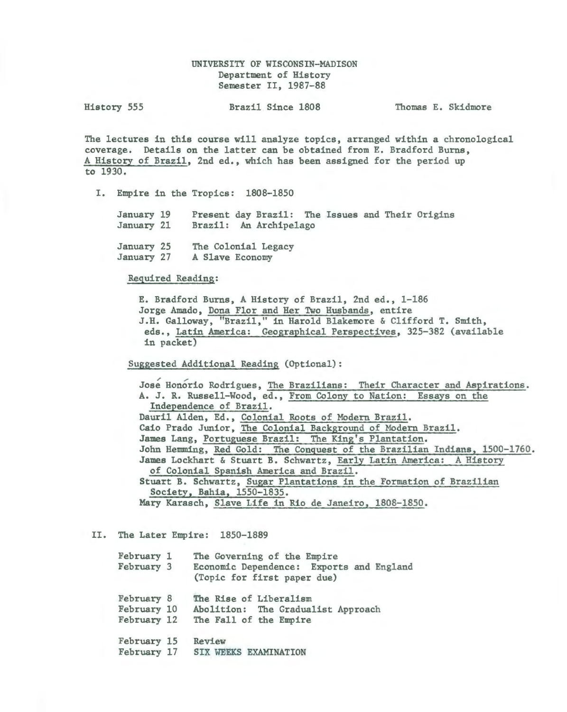# UNIVERSITY OF WISCONSIN-MADISON Department of History Semester II, 1987-88

| History 555 | Brazil Since 1808 | Thomas E. Skidmore |
|-------------|-------------------|--------------------|
|-------------|-------------------|--------------------|

The lectures in this course will analyze topics, arranged within a chronological coverage. Details on the latter can be obtained from E. Bradford Burns, A History of Brazil, 2nd ed., which has been assigned for the period up to 1930.

I. Empire in the Tropics: 1808-1850

January 19 January 21 Present day Brazil: The Issues and Their Origins Brazil: An Archipelago

January 25 January 27 The Colonial Legacy A Slave Economy

Required Reading:

E. Bradford Burns, A History of Brazil, 2nd ed., 1-186 Jorge Amado, Dona Flor and Her Two Husbands, entire J.H. Galloway, "Brazil," in Harold Blakemore & Clifford T. Smith, eds., Latin America: Geographical Perspectives, 325-382 (available in packet)

Suggested Additional Reading (Optional):

Jose Honorio Rodrigues, The Brazilians: Their Character and Aspirations. A. J. R. Russell-Wood, ed., From Colony to Nation: Essays on the Independence of Brazil. Dauril Alden, Ed., Colonial Roots of Modern Brazil. Caio Prado Junior, The Colonial Background of MOdern Brazil. James Lang, Portuguese Brazil: The King's Plantation. John Hemming, Red Gold: The Conquest of the Brazilian Indians, 1500-1760. James Lockhart & Stuart B. Schwartz, Early Latin America: A History of Colonial Spanish America and Brazil. Stuart B. Schwartz, Sugar Plantations in the Formation of Brazilian Society, Bahia, 1550-1835. Mary Karasch, Slave Life in Rio de Janeiro, 1808-1850.

II. The Later Empire: 1850-1889

| February 1<br>February 3                 | The Governing of the Empire<br>Economic Dependence: Exports and England<br>(Topic for first paper due) |
|------------------------------------------|--------------------------------------------------------------------------------------------------------|
| February 8<br>February 10<br>February 12 | The Rise of Liberalism<br>Abolition: The Gradualist Approach<br>The Fall of the Empire                 |
| February 15<br>February 17               | Review<br><b>SIX WEEKS EXAMINATION</b>                                                                 |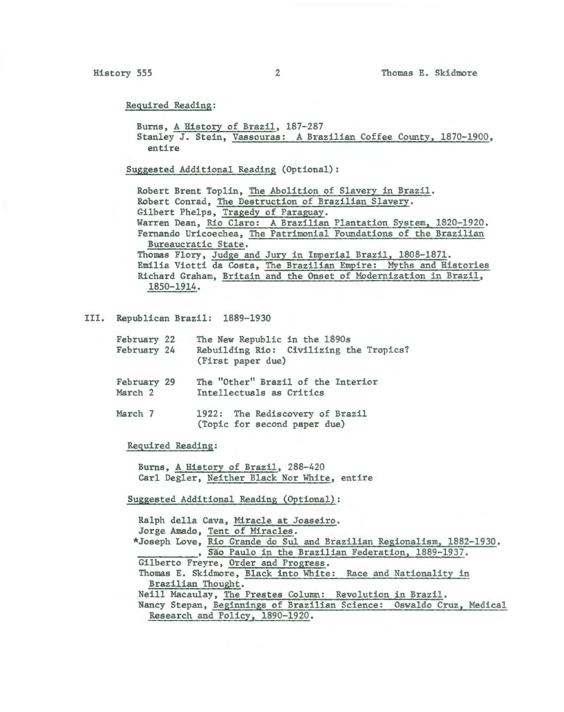Required Reading:

Burns, A History of Brazil, 187-287 Stanley J. Stein, Vassouras: A Brazilian Coffee County, 1870-1900, entire

Suggested Additional Reading (Optional):

Robert Brent Toplin, The Abolition of Slavery in Brazil. Robert Conrad, The Destruction of Brazilian Slavery. Gilbert Phelps, Tragedy of Paraguay. Warren Dean, Rio Claro: A Brazilian Plantation System, 1820-1920. Fernando Uricoechea, The Patrimonial Foundations of the Brazilian Bureaucratic State. Thomas Flory, Judge and Jury in Imperial Brazil, 1808-1871. Emilia Viotti da Costa, The Brazilian Empire: Myths and Histories Richard Graham, Britain and the Onset of MOdernization in Brazil, 1850-1914.

III. Republican Brazil: 1889-1930

| February 22<br>February 24        | The New Republic in the 1890s<br>Rebuilding Rio: Civilizing the Tropics?<br>(First paper due) |
|-----------------------------------|-----------------------------------------------------------------------------------------------|
| February 29<br>March <sub>2</sub> | The "Other" Brazil of the Interior<br>Intellectuals as Critics                                |
| March <sub>7</sub>                | 1922: The Rediscovery of Brazil<br>(Topic for second paper due)                               |

Required Reading:

Burns, A History of Brazil, 288-420 Carl Degler, Neither Black Nor White, entire

Suggested Additional Reading (Optional):

Ralph della Cava, Miracle at Joaseiro. Jorge Amado, Tent of Miracles. \*Joseph Love, Rio Grande do Sul and Brazilian Regionalism, 1882-1930. , São Paulo in the Brazilian Federation, 1889-1937. Gilberto Freyre, Order and Progress. Thomas E. Skidmore, Black into White: Race and Nationality in Brazilian Thought. Neill Macaulay, The Prestes Column: Revolution in Brazil. Nancy Stepan, Beginnings of Brazilian Science: Oswaldo Cruz, Medical Research and Policy, 1890-1920.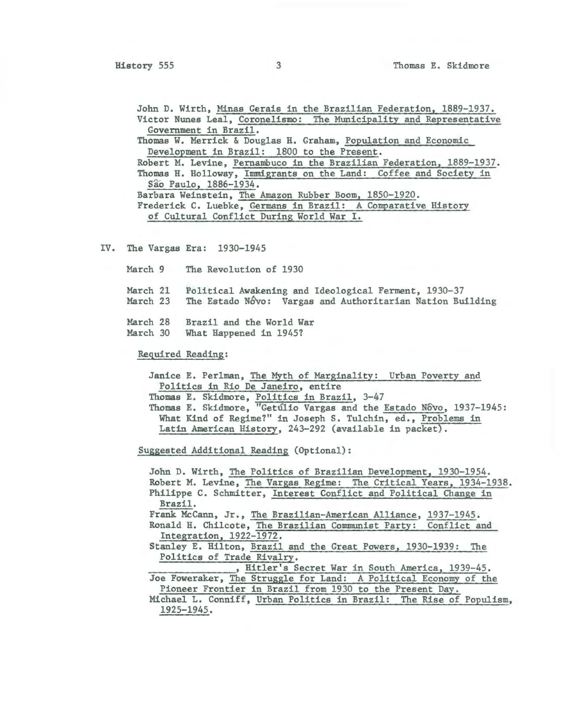John D. Wirth, Minas Gerais in the Brazilian Federation, 1889-1937. Victor Nunes Leal, Coronelismo: The Municipality and Representative Government in Brazil. Thomas W. Merrick & Douglas H. Graham, Population and Economic Development in Brazil: 1800 to the Present. Robert M. Levine, Pernambuco in the Brazilian Federation, 1889-1937. Thomas H. Holloway, Immigrants on the Land: Coffee and Society in Sao Paulo, 1886-1934. Barbara Weinstein, The Amazon Rubber Boom, 1850-1920. Frederick C. Luebke, Germans in Brazil: A Comparative History of Cultural Conflict During World War I.

IV. The Vargas Era: 1930-1945

March 9 The Revolution of 1930

- March 21 Political Awakening and Ideological Ferment, 1930-37
- March 23 The Estado Nôvo: Vargas and Authoritarian Nation Building
- March 28 Brazil and the World War
- March 30 What Happened in 1945?

Required Reading:

Janice E. Perlman, The Myth of Marginality: Urban Poverty and Politics in Rio De Janeiro, entire

Thomas E. Skidmore, Politics in Brazil, 3-47

Thomas E. Skidmore, "Getúlio Vargas and the Estado Nôvo, 1937-1945: What Kind of Regime?" in Joseph S. Tulchin, ed., Problems in Latin American History, 243-292 (available in packet).

Suggested Additional Reading (Optional):

John D. Wirth, The Politics of Brazilian Development, 1930-1954. Robert M. Levine, The Vargas Regime: The Critical Years, 1934-1938. Philippe C. Schmitter, Interest Conflict and Political Change in Brazil.

Frank McCann, Jr., The Brazilian-American Alliance, 1937-1945.

- Ronald H. Chilcote, The Brazilian Communist Party: Conflict and Integration, 1922-1972.
- Stanley E. Hilton, Brazil and the Great Powers, 1930-1939: The Politics of Trade Rivalry.

, Hitler's Secret War in South America, 1939-45. Joe Foweraker, The Struggle for Land: A Political Economy of the

Pioneer Frontier in Brazil from 1930 to the Present Day.

Michael L. Conniff, Urban Politics in Brazil: The Rise of Populism, 1925-1945.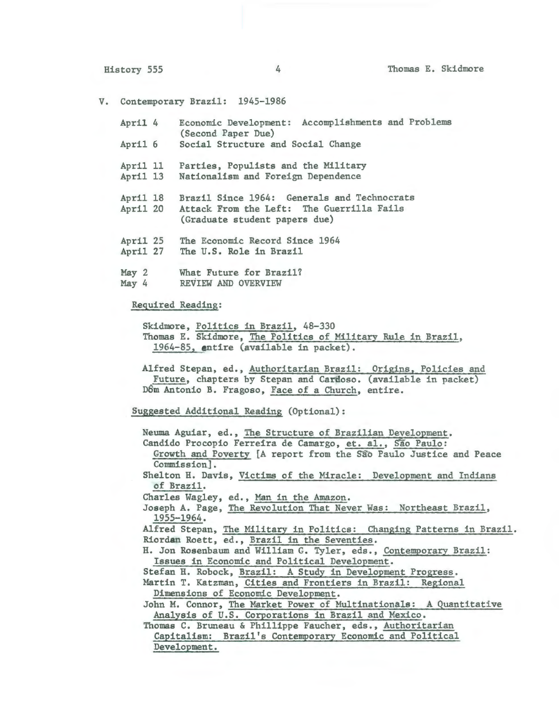V. Contemporary Brazil: 1945-1986

| April 4      | Economic Development:                    | Accomplishments and Problems |  |
|--------------|------------------------------------------|------------------------------|--|
|              | (Second Paper Due)                       |                              |  |
| $A = -A + I$ | Good of Chairman was and Cooled Chairman |                              |  |

- April 6 Social Structure and Social Change
- April 11 Parties, Populists and the Military
- April 13 Nationalism and Foreign Dependence
- April 18 April 20 Brazil Since 1964: Generals and Technocrats Attack From the Left: The Guerrilla Fails (Graduate student papers due)
- April 25 The Economic Record Since 1964
- April 27 The U.S. Role in Brazil
- May 2 What Future for Brazil?
- May 4 REVIEW AND OVERVIEW

# Required Reading:

Skidmore, Politics in Brazil, 48-330 Thomas E. Skidmore, The Politics of Military Rule in Brazil, 1964-85, entire (available in packet).

Alfred Stepan, ed., Authoritarian Brazil: Origins, Policies and Future, chapters by Stepan and Cardoso. (available in packet) D6m Antonio B. Fragoso, Face of a Church, entire.

Suggested Additional Reading (Optional):

Neuma Aguiar, ed., The Structure of Brazilian Development. Candido Procopio Ferreira de Camargo, et. al., São Paulo: Growth and Poverty [A report from the São Paulo Justice and Peace Commission]. Shelton H. Davis, Victims of the Miracle: Development and Indians of Brazil. Charles Wagley, ed., Man in the Amazon. Joseph A. Page, The Revolution That Never Was: Northeast Brazil, 1955-1964. Alfred Stepan, The Military in Politics: Changing Patterns in Brazil. Riordan Roett, ed., Brazil in the Seventies. H. Jon Rosenbaum and William G. Tyler, eds., Contemporary Brazil: Issues in Economic and Political Development. Stefan H. Robock, Brazil: A Study in Development Progress. Martin T. Katzman, Cities and Frontiers in Brazil: Regional Dimensions of Economic Development. John M. Connor, The Market Power of Multinationals: A Quantitative Analysis of U.S. Corporations in Brazil and Mexico. Thomas C. Bruneau & Phillippe Faucher, eds., Authoritarian Capitalism: Brazil's Contemporary Economic and Political Development.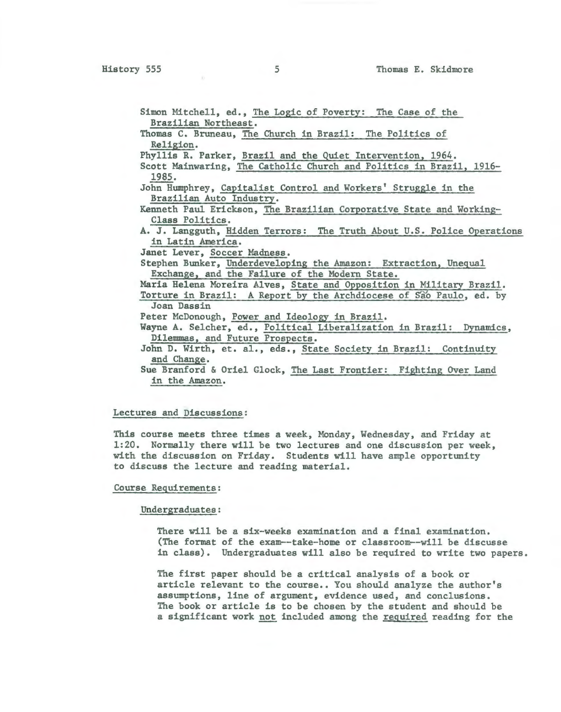Simon Mitchell, ed., The Logic of Poverty: The Case of the Brazilian Northeast.

Thomas C. Bruneau, The Church in Brazil: The Politics of Religion.

Phyllis R. Parker, Brazil and the Quiet Intervention, 1964.

Scott Mainwaring, The Catholic Church and Politics in Brazil, 1916-1985.

John Humphrey, Capitalist Control and Workers' Struggle in the Brazilian Auto Industry.

Kenneth Paul Erickson, The Brazilian Corporative State and Working-Class Politics.

A. J. Langguth, Hidden Terrors: The Truth About U.S. Police Operations in Latin America.

Janet Lever, Soccer Madness.

Stephen Bunker, Underdeveloping the Amazon: Extraction, Unequal Exchange, and the Failure of the Modern State.

Maria Helena Moreira Alves, State and Opposition in Military Brazil.

Torture in Brazil: A Report by the Archdiocese of Sao Paulo, ed. by Joan Dassin

Peter McDonough, Power and Ideology in Brazil.

Wayne A. Selcher, ed., Political Liberalization in Brazil: Dynamics, Dilemmas, and Future Prospects.

John D. Wirth, et. al., eds., State Society in Brazil: Continuity and Change.

Sue Branford & Oriel Glock, The Last Frontier: Fighting Over Land in the Amazon.

## Lectures and Discussions:

This course meets three times a week, Monday, Wednesday, and Friday at 1:20. Normally there will be two lectures and one discussion per week, with the discussion on Friday. Students will have ample opportunity to discuss the lecture and reading material.

### Course Requirements:

#### Undergraduates:

There will be a six-weeks examination and a final examination. (The format of the exam--take-home or classroom--will be discusse in class). Undergraduates will also be required to write two papers.

The first paper should be a critical analysis of a book or article relevant to the course.. You should analyze the author's assumptions, line of argument, evidence used, and conclusions. The book or article is to be chosen by the student and should be a significant work not included among the required reading for the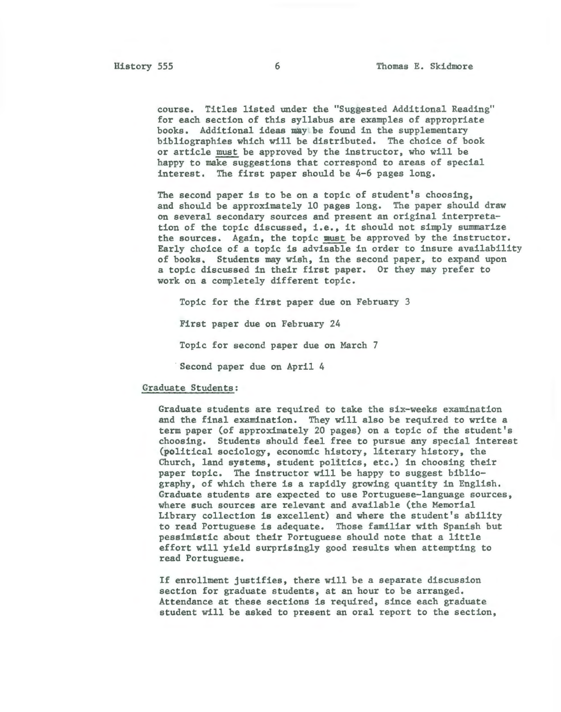course. Titles listed under the "Suggested Additional Reading" for each section of this syllabus are examples of appropriate books. Additional ideas may be found in the supplementary bibliographies which will be distributed. The choice of book or article must be approved by the instructor, who will be happy to make suggestions that correspond to areas of special interest. The first paper should be 4-6 pages long.

The second paper is to be on a topic of student's choosing, and should be approximately 10 pages long. The paper should draw on several secondary sources and present an original interpretation of the topic discussed, i.e., it should not simply summarize the sources. Again, the topic must be approved by the instructor. Early choice of a topic is advisable in order to insure availability of books. Students may wish, in the second paper, to expand upon a topic discussed in their first paper. Or they may prefer to work on a completely different topic.

Topic for the first paper due on February 3

First paper due on February 24

Topic for second paper due on March 7

Second paper due on April 4

#### Graduate Students:

Graduate students are required to take the six-weeks examination and the final examination. They will also be required to write a term paper (of approximately 20 pages) on a topic of the student's choosing. Students should feel free to pursue any special interest (political sociology, economic history, literary history, the Church, land systems, student politics, etc.) in choosing their paper topic. The instructor will be happy to suggest bibliography, of which there is a rapidly growing quantity in English. Graduate students are expected to use Portuguese-language sources, where such sources are relevant and available (the Memorial Library collection is excellent) and where the student's ability to read Portuguese is adequate. Those familiar with Spanish but pessimistic about their Portuguese should note that a little effort will yield surprisingly good results when attempting to read Portuguese.

If enrollment justifies, there will be a separate discussion section for graduate students, at an hour to be arranged. Attendance at these sections is required, since each graduate student will be asked to present an oral report to the section,